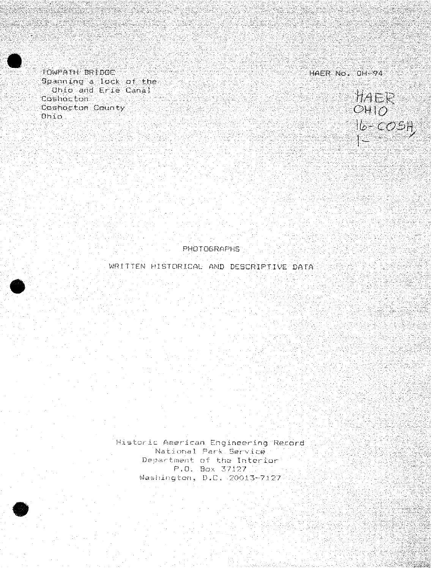TOMPATH BRIDGE Spanning a lock of the Unio and Erie Canal Coshocton Cashocton County **Ohio** 

<u> Pitanego</u>

**HAER NO. 0H-94** 



**PHOTOGRAPHS** 

WRITTEN HISTORICAL AND DESCRIPTIVE DATA

Historic American Engineering Record National Park Service. Department of the Interior P.O. Box 37127 Washington, D.C. 20013-7127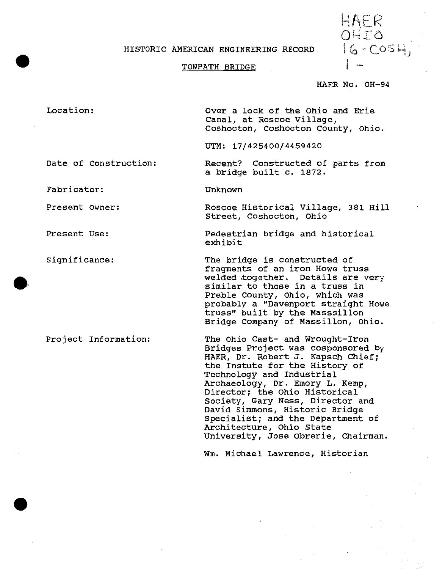#### HISTORIC AMERICAN ENGINEERING RECORD

HAER OHIO ر ہ

### TOWPATH BRIDGE

#### HAER No. OH-94

Location: Date of Construction Over a lock of the Ohio and Erie Canal, at Roscoe Village, Coshocton, Coshocton County, Ohio. UTM: 17/42 54 00/4459420 Recent? Constructed of parts from a bridge built c. 1872.

Unknown

Fabricator:

Present Owner:

Present Use:

Significance:

**#**

Project Information:

Roscoe Historical Village, 381 Hill Street, Coshocton, Ohio

Pedestrian bridge and historical exhibit

The bridge is constructed of fragments of an iron Howe truss welded together. Details are very similar to those in a truss in Preble County, Ohio, which was probably a "Davenport straight Howe truss" built by the Masssillon Bridge Company of Massillon, Ohio.

The Ohio Cast- and Wrought-Iron Bridges Project was cosponsored by HAER, Dr. Robert J. Kapsch Chief; the Instute for the History of Technology and Industrial Archaeology, Dr. Emory L. Kemp, Director; the Ohio Historical Society, Gary Ness, Director and David Simmons, Historic Bridge Specialist; and the Department of Architecture, Ohio State University, Jose Obrerie, Chairman.

Wm. Michael Lawrence, Historian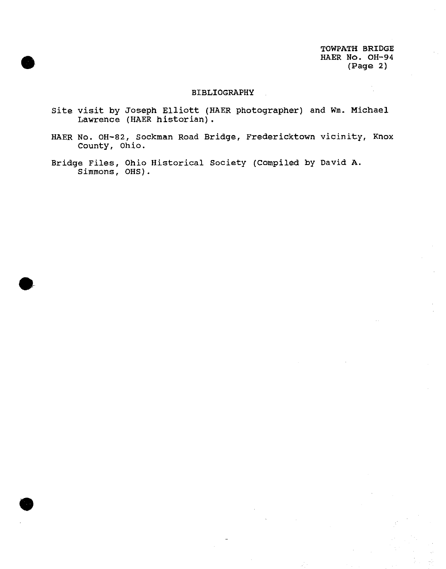TOWPATH BRIDGE HAER No. OH-94 (Page 2)

# BIBLIOGRAPHY

- Site visit by Joseph Elliott (HAER photographer) and Wm. Michael Lawrence (HAER historian).
- HAER No. OH-82, Sockman Road Bridge, Fredericktown vicinity, Knox County, Ohio.
- Bridge Files, Ohio Historical Society (Compiled by David A. Simmons, OHS).